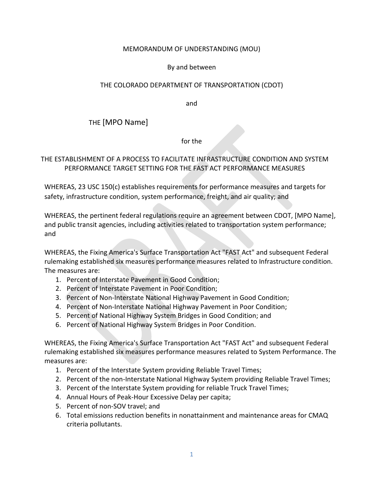### MEMORANDUM OF UNDERSTANDING (MOU)

### By and between

## THE COLORADO DEPARTMENT OF TRANSPORTATION (CDOT)

and

THE [MPO Name]

for the

## THE ESTABLISHMENT OF A PROCESS TO FACILITATE INFRASTRUCTURE CONDITION AND SYSTEM PERFORMANCE TARGET SETTING FOR THE FAST ACT PERFORMANCE MEASURES

WHEREAS, 23 USC 150(c) establishes requirements for performance measures and targets for safety, infrastructure condition, system performance, freight, and air quality; and

WHEREAS, the pertinent federal regulations require an agreement between CDOT, [MPO Name], and public transit agencies, including activities related to transportation system performance; and

WHEREAS, the Fixing America's Surface Transportation Act "FAST Act" and subsequent Federal rulemaking established six measures performance measures related to Infrastructure condition. The measures are:

- 1. Percent of Interstate Pavement in Good Condition;
- 2. Percent of Interstate Pavement in Poor Condition;
- 3. Percent of Non-Interstate National Highway Pavement in Good Condition;
- 4. Percent of Non-Interstate National Highway Pavement in Poor Condition;
- 5. Percent of National Highway System Bridges in Good Condition; and
- 6. Percent of National Highway System Bridges in Poor Condition.

WHEREAS, the Fixing America's Surface Transportation Act "FAST Act" and subsequent Federal rulemaking established six measures performance measures related to System Performance. The measures are:

- 1. Percent of the Interstate System providing Reliable Travel Times;
- 2. Percent of the non-Interstate National Highway System providing Reliable Travel Times;
- 3. Percent of the Interstate System providing for reliable Truck Travel Times;
- 4. Annual Hours of Peak-Hour Excessive Delay per capita;
- 5. Percent of non-SOV travel; and
- 6. Total emissions reduction benefits in nonattainment and maintenance areas for CMAQ criteria pollutants.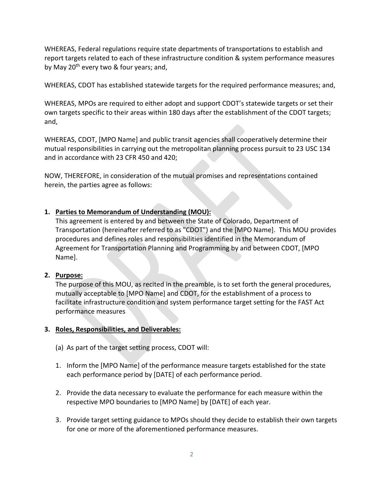WHEREAS, Federal regulations require state departments of transportations to establish and report targets related to each of these infrastructure condition & system performance measures by May 20<sup>th</sup> every two & four years; and,

WHEREAS, CDOT has established statewide targets for the required performance measures; and,

WHEREAS, MPOs are required to either adopt and support CDOT's statewide targets or set their own targets specific to their areas within 180 days after the establishment of the CDOT targets; and,

WHEREAS, CDOT, [MPO Name] and public transit agencies shall cooperatively determine their mutual responsibilities in carrying out the metropolitan planning process pursuit to 23 USC 134 and in accordance with 23 CFR 450 and 420;

NOW, THEREFORE, in consideration of the mutual promises and representations contained herein, the parties agree as follows:

# **1. Parties to Memorandum of Understanding (MOU):**

This agreement is entered by and between the State of Colorado, Department of Transportation (hereinafter referred to as "CDOT") and the [MPO Name]. This MOU provides procedures and defines roles and responsibilities identified in the Memorandum of Agreement for Transportation Planning and Programming by and between CDOT, [MPO Name].

#### **2. Purpose:**

The purpose of this MOU, as recited in the preamble, is to set forth the general procedures, mutually acceptable to [MPO Name] and CDOT, for the establishment of a process to facilitate infrastructure condition and system performance target setting for the FAST Act performance measures

#### **3. Roles, Responsibilities, and Deliverables:**

- (a) As part of the target setting process, CDOT will:
- 1. Inform the [MPO Name] of the performance measure targets established for the state each performance period by [DATE] of each performance period.
- 2. Provide the data necessary to evaluate the performance for each measure within the respective MPO boundaries to [MPO Name] by [DATE] of each year.
- 3. Provide target setting guidance to MPOs should they decide to establish their own targets for one or more of the aforementioned performance measures.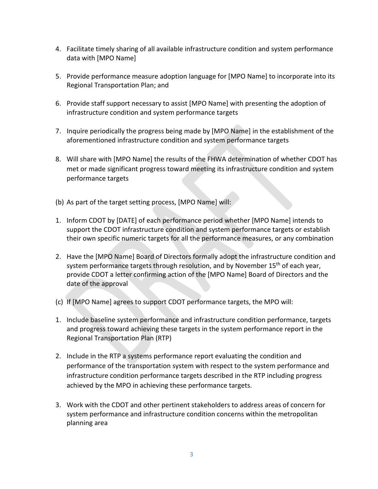- 4. Facilitate timely sharing of all available infrastructure condition and system performance data with [MPO Name]
- 5. Provide performance measure adoption language for [MPO Name] to incorporate into its Regional Transportation Plan; and
- 6. Provide staff support necessary to assist [MPO Name] with presenting the adoption of infrastructure condition and system performance targets
- 7. Inquire periodically the progress being made by [MPO Name] in the establishment of the aforementioned infrastructure condition and system performance targets
- 8. Will share with [MPO Name] the results of the FHWA determination of whether CDOT has met or made significant progress toward meeting its infrastructure condition and system performance targets
- (b) As part of the target setting process, [MPO Name] will:
- 1. Inform CDOT by [DATE] of each performance period whether [MPO Name] intends to support the CDOT infrastructure condition and system performance targets or establish their own specific numeric targets for all the performance measures, or any combination
- 2. Have the [MPO Name] Board of Directors formally adopt the infrastructure condition and system performance targets through resolution, and by November 15<sup>th</sup> of each year, provide CDOT a letter confirming action of the [MPO Name] Board of Directors and the date of the approval
- (c) If [MPO Name] agrees to support CDOT performance targets, the MPO will:
- 1. Include baseline system performance and infrastructure condition performance, targets and progress toward achieving these targets in the system performance report in the Regional Transportation Plan (RTP)
- 2. Include in the RTP a systems performance report evaluating the condition and performance of the transportation system with respect to the system performance and infrastructure condition performance targets described in the RTP including progress achieved by the MPO in achieving these performance targets.
- 3. Work with the CDOT and other pertinent stakeholders to address areas of concern for system performance and infrastructure condition concerns within the metropolitan planning area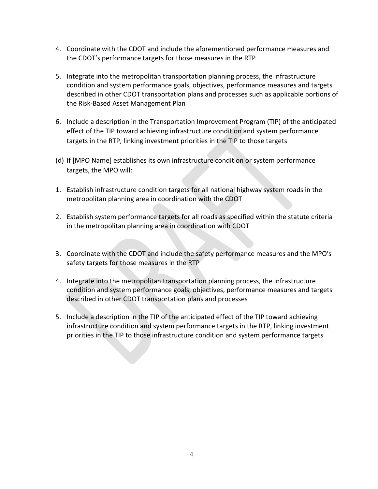- 4. Coordinate with the CDOT and include the aforementioned performance measures and the CDOT's performance targets for those measures in the RTP
- 5. Integrate into the metropolitan transportation planning process, the infrastructure condition and system performance goals, objectives, performance measures and targets described in other CDOT transportation plans and processes such as applicable portions of the Risk-Based Asset Management Plan
- 6. Include a description in the Transportation Improvement Program (TIP) of the anticipated effect of the TIP toward achieving infrastructure condition and system performance targets in the RTP, linking investment priorities in the TIP to those targets
- (d) If [MPO Name] establishes its own infrastructure condition or system performance targets, the MPO will:
- 1. Establish infrastructure condition targets for all national highway system roads in the metropolitan planning area in coordination with the CDOT
- 2. Establish system performance targets for all roads as specified within the statute criteria in the metropolitan planning area in coordination with CDOT
- 3. Coordinate with the CDOT and include the safety performance measures and the MPO's safety targets for those measures in the RTP
- 4. Integrate into the metropolitan transportation planning process, the infrastructure condition and system performance goals, objectives, performance measures and targets described in other CDOT transportation plans and processes
- 5. Include a description in the TIP of the anticipated effect of the TIP toward achieving infrastructure condition and system performance targets in the RTP, linking investment priorities in the TIP to those infrastructure condition and system performance targets